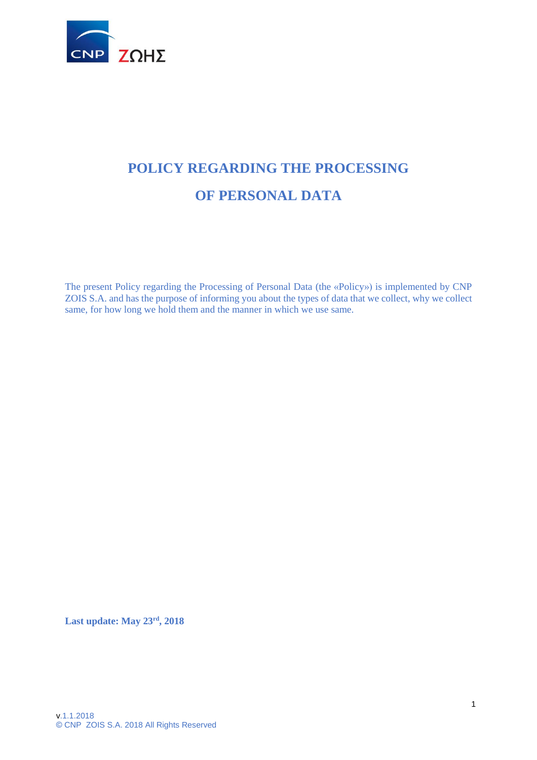

# **POLICY REGARDING THE PROCESSING OF PERSONAL DATA**

The present Policy regarding the Processing of Personal Data (the «Policy») is implemented by CNP ZOIS S.A. and has the purpose of informing you about the types of data that we collect, why we collect same, for how long we hold them and the manner in which we use same.

**Last update: May 23rd, 2018**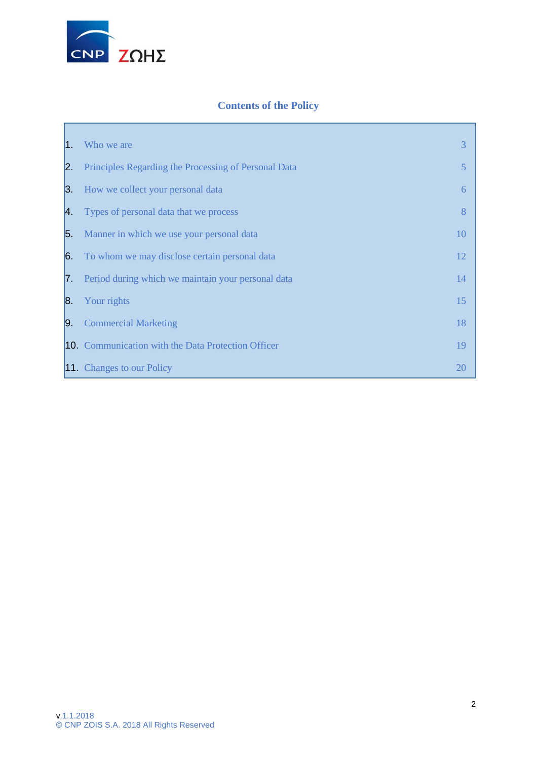

# **Contents of the Policy**

<span id="page-1-0"></span>

| $ 1\rangle$ | Who we are                                             | 3  |
|-------------|--------------------------------------------------------|----|
| 2.          | Principles Regarding the Processing of Personal Data   | 5  |
| 3.          | How we collect your personal data                      | 6  |
| 4.          | Types of personal data that we process                 | 8  |
| 5.          | Manner in which we use your personal data              | 10 |
|             | <b>6</b> To whom we may disclose certain personal data | 12 |
|             | 7 Period during which we maintain your personal data   | 14 |
|             | <b>8.</b> Your rights                                  | 15 |
|             | <b>9.</b> Commercial Marketing                         | 18 |
|             | 10. Communication with the Data Protection Officer     | 19 |
|             | <b>11.</b> Changes to our Policy                       | 20 |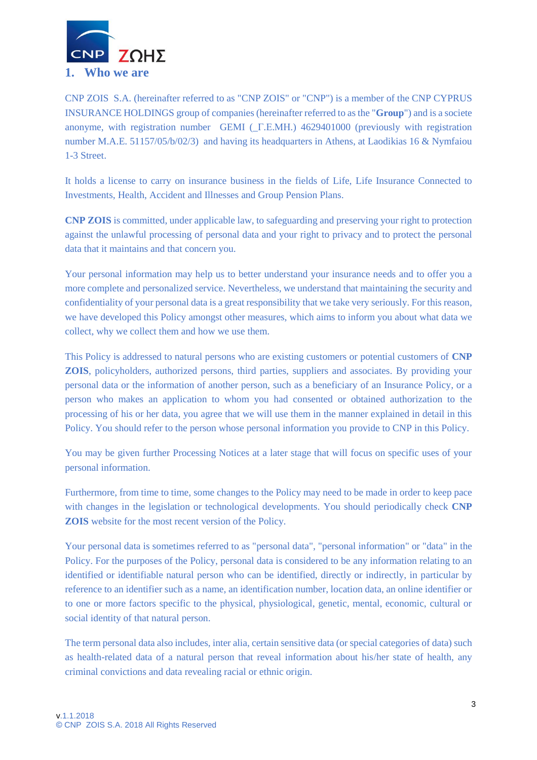

CNP ZOIS S.A. (hereinafter referred to as "CNP ZOIS" or "CNP") is a member of the CNP CYPRUS INSURANCE HOLDINGS group of companies (hereinafter referred to as the "**Group**") and is a societe anonyme, with registration number GEMI (\_Γ.Ε.ΜΗ.) 4629401000 (previously with registration number M.A.E. 51157/05/b/02/3) and having its headquarters in Athens, at Laodikias 16 & Nymfaiou 1-3 Street.

It holds a license to carry on insurance business in the fields of Life, Life Insurance Connected to Investments, Health, Accident and Illnesses and Group Pension Plans.

**CNP ZOIS** is committed, under applicable law, to safeguarding and preserving your right to protection against the unlawful processing of personal data and your right to privacy and to protect the personal data that it maintains and that concern you.

Your personal information may help us to better understand your insurance needs and to offer you a more complete and personalized service. Nevertheless, we understand that maintaining the security and confidentiality of your personal data is a great responsibility that we take very seriously. For this reason, we have developed this Policy amongst other measures, which aims to inform you about what data we collect, why we collect them and how we use them.

This Policy is addressed to natural persons who are existing customers or potential customers of **CNP ZOIS**, policyholders, authorized persons, third parties, suppliers and associates. By providing your personal data or the information of another person, such as a beneficiary of an Insurance Policy, or a person who makes an application to whom you had consented or obtained authorization to the processing of his or her data, you agree that we will use them in the manner explained in detail in this Policy. You should refer to the person whose personal information you provide to CNP in this Policy.

You may be given further Processing Notices at a later stage that will focus on specific uses of your personal information.

Furthermore, from time to time, some changes to the Policy may need to be made in order to keep pace with changes in the legislation or technological developments. You should periodically check **CNP ZOIS** website for the most recent version of the Policy.

Your personal data is sometimes referred to as "personal data", "personal information" or "data" in the Policy. For the purposes of the Policy, personal data is considered to be any information relating to an identified or identifiable natural person who can be identified, directly or indirectly, in particular by reference to an identifier such as a name, an identification number, location data, an online identifier or to one or more factors specific to the physical, physiological, genetic, mental, economic, cultural or social identity of that natural person.

The term personal data also includes, inter alia, certain sensitive data (or special categories of data) such as health-related data of a natural person that reveal information about his/her state of health, any criminal convictions and data revealing racial or ethnic origin.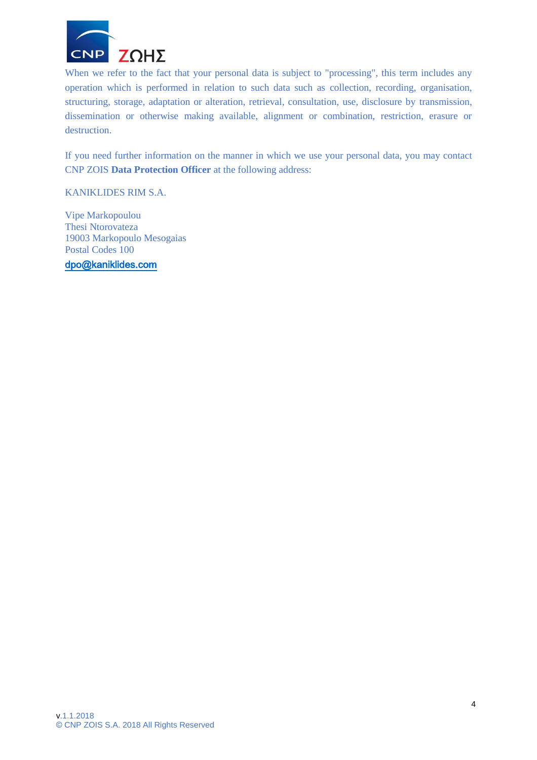

When we refer to the fact that your personal data is subject to "processing", this term includes any operation which is performed in relation to such data such as collection, recording, organisation, structuring, storage, adaptation or alteration, retrieval, consultation, use, disclosure by transmission, dissemination or otherwise making available, alignment or combination, restriction, erasure or destruction.

If you need further information on the manner in which we use your personal data, you may contact CNP ZOIS **Data Protection Officer** at the following address:

KANIKLIDES RIM S.A.

Vipe Markopoulou Thesi Ntorovateza 19003 Markopoulo Mesogaias Postal Codes 100

[dpo@kaniklides.com](mailto:dpo@kaniklides.com)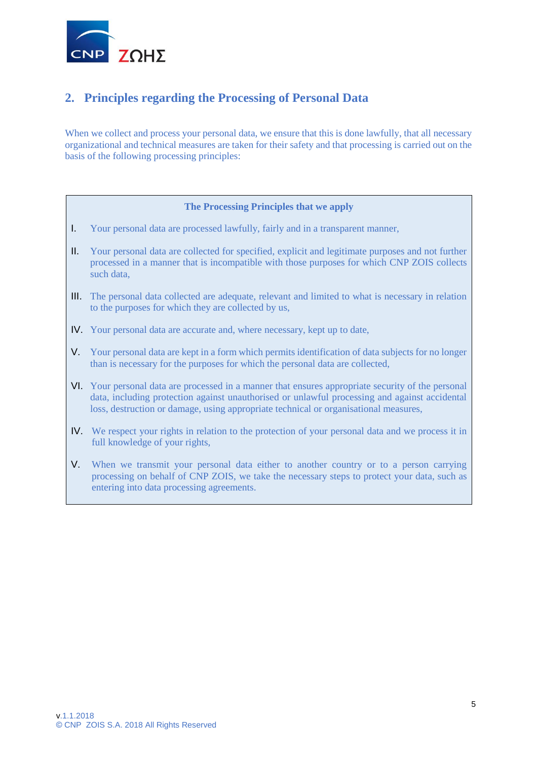

# **2. Principles regarding the Processing of Personal Data**

When we collect and process your personal data, we ensure that this is done lawfully, that all necessary organizational and technical measures are taken for their safety and that processing is carried out on the basis of the following processing principles:

#### **The Processing Principles that we apply**

- I. Your personal data are processed lawfully, fairly and in a transparent manner,
- II. Your personal data are collected for specified, explicit and legitimate purposes and not further processed in a manner that is incompatible with those purposes for which CNP ZOIS collects such data,
- III. The personal data collected are adequate, relevant and limited to what is necessary in relation to the purposes for which they are collected by us,
- IV. Your personal data are accurate and, where necessary, kept up to date,
- V. Your personal data are kept in a form which permits identification of data subjects for no longer than is necessary for the purposes for which the personal data are collected,
- VI. Your personal data are processed in a manner that ensures appropriate security of the personal data, including protection against unauthorised or unlawful processing and against accidental loss, destruction or damage, using appropriate technical or organisational measures,
- IV. We respect your rights in relation to the protection of your personal data and we process it in full knowledge of your rights,
- <span id="page-4-0"></span>V. When we transmit your personal data either to another country or to a person carrying processing on behalf of CNP ZOIS, we take the necessary steps to protect your data, such as entering into data processing agreements.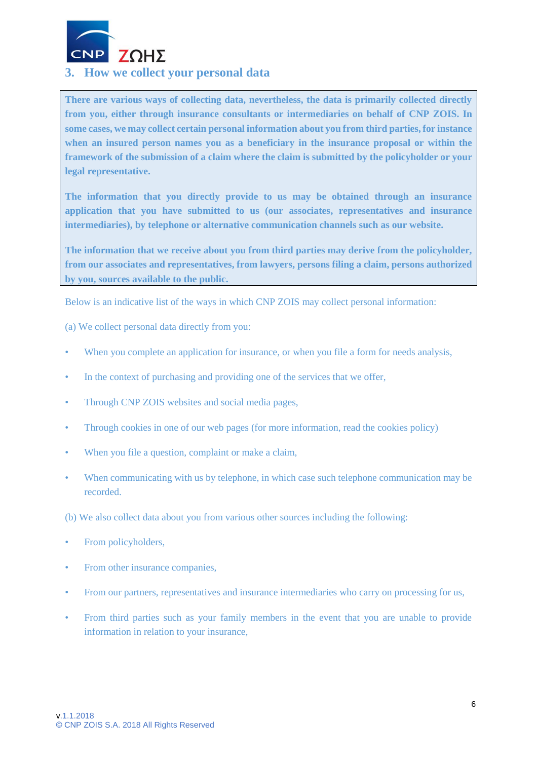

### **3. How we collect your personal data**

**There are various ways of collecting data, nevertheless, the data is primarily collected directly from you, either through insurance consultants or intermediaries on behalf of CNP ZOIS. In some cases, we may collect certain personal information about you from third parties, for instance when an insured person names you as a beneficiary in the insurance proposal or within the framework of the submission of a claim where the claim is submitted by the policyholder or your legal representative.**

**The information that you directly provide to us may be obtained through an insurance application that you have submitted to us (our associates, representatives and insurance intermediaries), by telephone or alternative communication channels such as our website.** 

**The information that we receive about you from third parties may derive from the policyholder, from our associates and representatives, from lawyers, persons filing a claim, persons authorized by you, sources available to the public.**

Below is an indicative list of the ways in which CNP ZOIS may collect personal information:

(a) We collect personal data directly from you:

- When you complete an application for insurance, or when you file a form for needs analysis,
- In the context of purchasing and providing one of the services that we offer,
- Through CNP ZOIS websites and social media pages,
- Through cookies in one of our web pages (for more information, read the cookies policy)
- When you file a question, complaint or make a claim,
- When communicating with us by telephone, in which case such telephone communication may be recorded.

(b) We also collect data about you from various other sources including the following:

- From policyholders,
- From other insurance companies,
- From our partners, representatives and insurance intermediaries who carry on processing for us,
- From third parties such as your family members in the event that you are unable to provide information in relation to your insurance,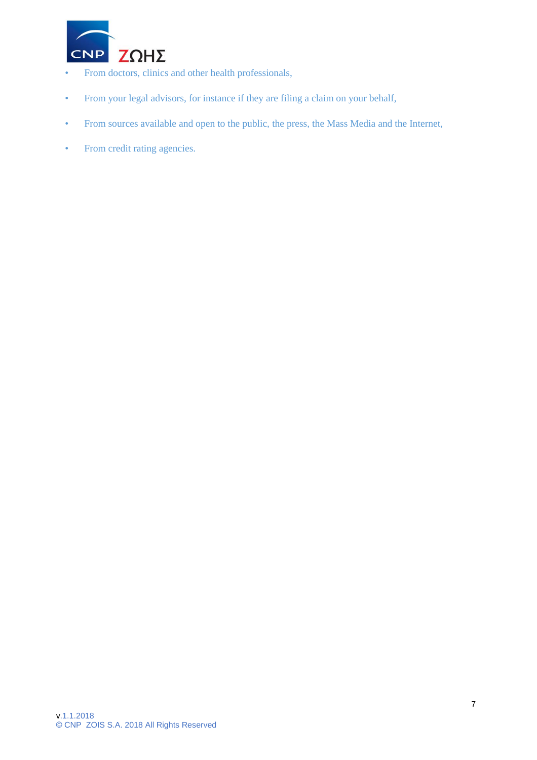

- From doctors, clinics and other health professionals,
- From your legal advisors, for instance if they are filing a claim on your behalf,
- From sources available and open to the public, the press, the Mass Media and the Internet,
- <span id="page-6-0"></span>• From credit rating agencies.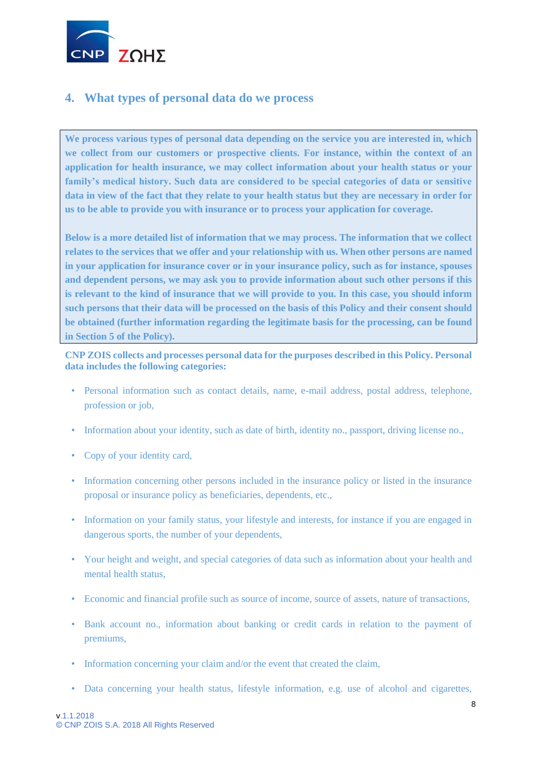

### **4. What types of personal data do we process**

**We process various types of personal data depending on the service you are interested in, which we collect from our customers or prospective clients. For instance, within the context of an application for health insurance, we may collect information about your health status or your family's medical history. Such data are considered to be special categories of data or sensitive data in view of the fact that they relate to your health status but they are necessary in order for us to be able to provide you with insurance or to process your application for coverage.** 

**Below is a more detailed list of information that we may process. The information that we collect relates to the services that we offer and your relationship with us. When other persons are named in your application for insurance cover or in your insurance policy, such as for instance, spouses and dependent persons, we may ask you to provide information about such other persons if this is relevant to the kind of insurance that we will provide to you. In this case, you should inform such persons that their data will be processed on the basis of this Policy and their consent should be obtained (further information regarding the legitimate basis for the processing, can be found in Section 5 of the Policy).**

**CNP ZOIS collects and processes personal data for the purposes described in this Policy. Personal data includes the following categories:**

- Personal information such as contact details, name, e-mail address, postal address, telephone, profession or job,
- Information about your identity, such as date of birth, identity no., passport, driving license no.,
- Copy of your identity card,
- Information concerning other persons included in the insurance policy or listed in the insurance proposal or insurance policy as beneficiaries, dependents, etc.,
- Information on your family status, your lifestyle and interests, for instance if you are engaged in dangerous sports, the number of your dependents,
- Your height and weight, and special categories of data such as information about your health and mental health status,
- Economic and financial profile such as source of income, source of assets, nature of transactions,
- Bank account no., information about banking or credit cards in relation to the payment of premiums,
- Information concerning your claim and/or the event that created the claim,
- Data concerning your health status, lifestyle information, e.g. use of alcohol and cigarettes,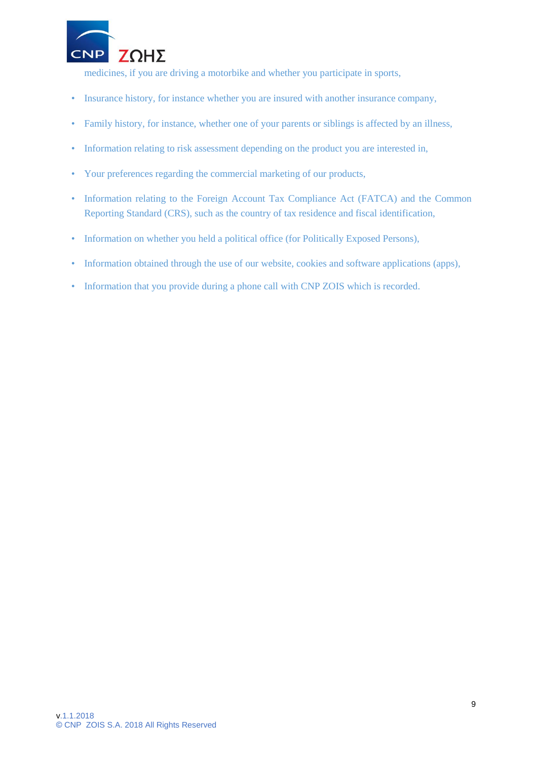

medicines, if you are driving a motorbike and whether you participate in sports,

- Insurance history, for instance whether you are insured with another insurance company,
- Family history, for instance, whether one of your parents or siblings is affected by an illness,
- Information relating to risk assessment depending on the product you are interested in,
- Your preferences regarding the commercial marketing of our products,
- Information relating to the Foreign Account Tax Compliance Act (FATCA) and the Common Reporting Standard (CRS), such as the country of tax residence and fiscal identification,
- Information on whether you held a political office (for Politically Exposed Persons),
- Information obtained through the use of our website, cookies and software applications (apps),
- <span id="page-8-0"></span>• Information that you provide during a phone call with CNP ZOIS which is recorded.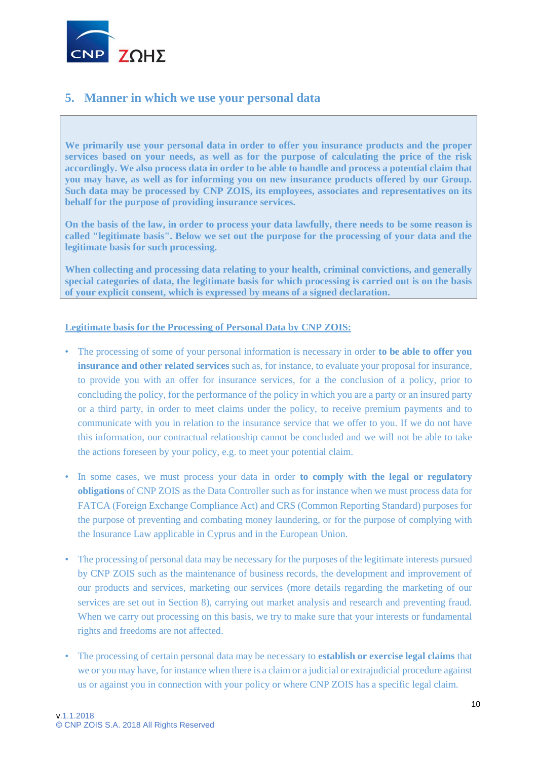

### **5. Manner in which we use your personal data**

**We primarily use your personal data in order to offer you insurance products and the proper services based on your needs, as well as for the purpose of calculating the price of the risk accordingly. We also process data in order to be able to handle and process a potential claim that you may have, as well as for informing you on new insurance products offered by our Group. Such data may be processed by CNP ZOIS, its employees, associates and representatives on its behalf for the purpose of providing insurance services.**

**On the basis of the law, in order to process your data lawfully, there needs to be some reason is called "legitimate basis". Below we set out the purpose for the processing of your data and the legitimate basis for such processing.**

**When collecting and processing data relating to your health, criminal convictions, and generally special categories of data, the legitimate basis for which processing is carried out is on the basis of your explicit consent, which is expressed by means of a signed declaration.**

#### **Legitimate basis for the Processing of Personal Data by CNP ZOIS:**

- The processing of some of your personal information is necessary in order **to be able to offer you insurance and other related services** such as, for instance, to evaluate your proposal for insurance, to provide you with an offer for insurance services, for a the conclusion of a policy, prior to concluding the policy, for the performance of the policy in which you are a party or an insured party or a third party, in order to meet claims under the policy, to receive premium payments and to communicate with you in relation to the insurance service that we offer to you. If we do not have this information, our contractual relationship cannot be concluded and we will not be able to take the actions foreseen by your policy, e.g. to meet your potential claim.
- In some cases, we must process your data in order **to comply with the legal or regulatory obligations** of CNP ZOIS as the Data Controller such as for instance when we must process data for FATCA (Foreign Exchange Compliance Act) and CRS (Common Reporting Standard) purposes for the purpose of preventing and combating money laundering, or for the purpose of complying with the Insurance Law applicable in Cyprus and in the European Union.
- The processing of personal data may be necessary for the purposes of the legitimate interests pursued by CNP ZOIS such as the maintenance of business records, the development and improvement of our products and services, marketing our services (more details regarding the marketing of our services are set out in Section 8), carrying out market analysis and research and preventing fraud. When we carry out processing on this basis, we try to make sure that your interests or fundamental rights and freedoms are not affected.
- The processing of certain personal data may be necessary to **establish or exercise legal claims** that we or you may have, for instance when there is a claim or a judicial or extrajudicial procedure against us or against you in connection with your policy or where CNP ZOIS has a specific legal claim.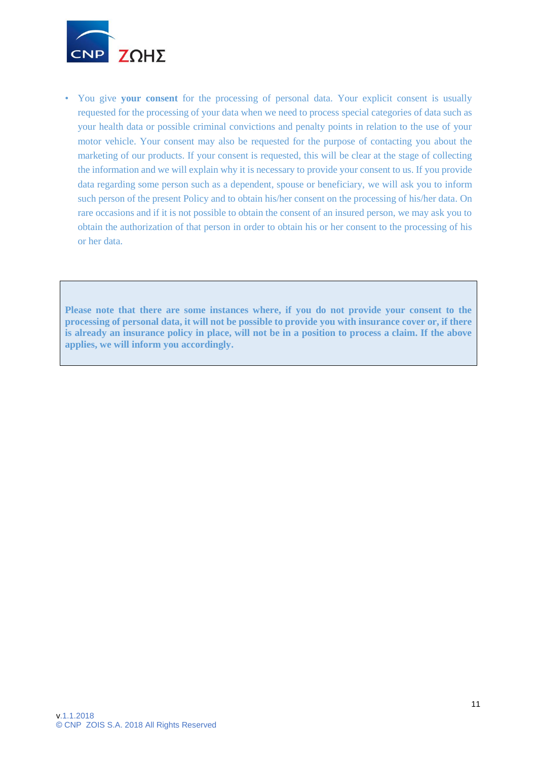

• You give **your consent** for the processing of personal data. Your explicit consent is usually requested for the processing of your data when we need to process special categories of data such as your health data or possible criminal convictions and penalty points in relation to the use of your motor vehicle. Your consent may also be requested for the purpose of contacting you about the marketing of our products. If your consent is requested, this will be clear at the stage of collecting the information and we will explain why it is necessary to provide your consent to us. If you provide data regarding some person such as a dependent, spouse or beneficiary, we will ask you to inform such person of the present Policy and to obtain his/her consent on the processing of his/her data. On rare occasions and if it is not possible to obtain the consent of an insured person, we may ask you to obtain the authorization of that person in order to obtain his or her consent to the processing of his or her data.

<span id="page-10-0"></span>**Please note that there are some instances where, if you do not provide your consent to the processing of personal data, it will not be possible to provide you with insurance cover or, if there is already an insurance policy in place, will not be in a position to process a claim. If the above applies, we will inform you accordingly.**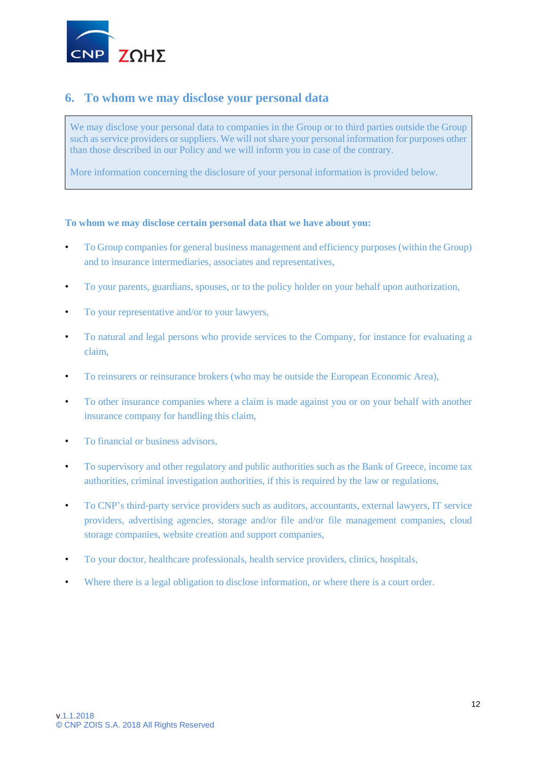

### **6. To whom we may disclose your personal data**

We may disclose your personal data to companies in the Group or to third parties outside the Group such as service providers or suppliers. We will not share your personal information for purposes other than those described in our Policy and we will inform you in case of the contrary.

More information concerning the disclosure of your personal information is provided below.

#### **To whom we may disclose certain personal data that we have about you:**

- To Group companies for general business management and efficiency purposes (within the Group) and to insurance intermediaries, associates and representatives,
- To your parents, guardians, spouses, or to the policy holder on your behalf upon authorization,
- To your representative and/or to your lawyers,
- To natural and legal persons who provide services to the Company, for instance for evaluating a claim,
- To reinsurers or reinsurance brokers (who may be outside the European Economic Area),
- To other insurance companies where a claim is made against you or on your behalf with another insurance company for handling this claim,
- To financial or business advisors,
- To supervisory and other regulatory and public authorities such as the Bank of Greece, income tax authorities, criminal investigation authorities, if this is required by the law or regulations,
- To CNP's third-party service providers such as auditors, accountants, external lawyers, IT service providers, advertising agencies, storage and/or file and/or file management companies, cloud storage companies, website creation and support companies,
- To your doctor, healthcare professionals, health service providers, clinics, hospitals,
- Where there is a legal obligation to disclose information, or where there is a court order.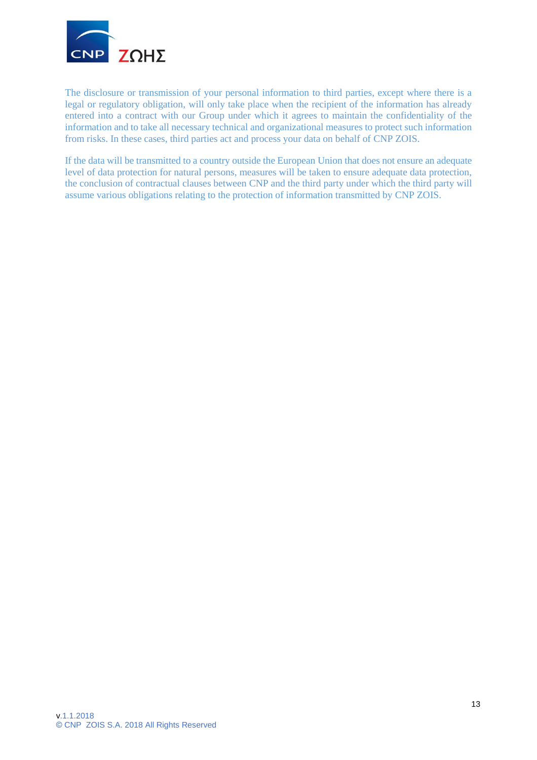

The disclosure or transmission of your personal information to third parties, except where there is a legal or regulatory obligation, will only take place when the recipient of the information has already entered into a contract with our Group under which it agrees to maintain the confidentiality of the information and to take all necessary technical and organizational measures to protect such information from risks. In these cases, third parties act and process your data on behalf of CNP ZOIS.

If the data will be transmitted to a country outside the European Union that does not ensure an adequate level of data protection for natural persons, measures will be taken to ensure adequate data protection, the conclusion of contractual clauses between CNP and the third party under which the third party will assume various obligations relating to the protection of information transmitted by CNP ZOIS.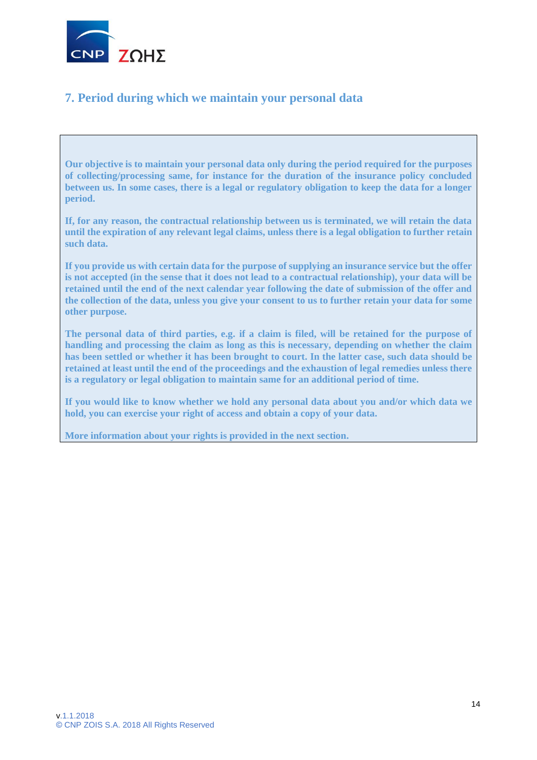

# **7. Period during which we maintain your personal data**

**Our objective is to maintain your personal data only during the period required for the purposes of collecting/processing same, for instance for the duration of the insurance policy concluded between us. In some cases, there is a legal or regulatory obligation to keep the data for a longer period.**

**If, for any reason, the contractual relationship between us is terminated, we will retain the data until the expiration of any relevant legal claims, unless there is a legal obligation to further retain such data.**

**If you provide us with certain data for the purpose of supplying an insurance service but the offer is not accepted (in the sense that it does not lead to a contractual relationship), your data will be retained until the end of the next calendar year following the date of submission of the offer and the collection of the data, unless you give your consent to us to further retain your data for some other purpose.**

**The personal data of third parties, e.g. if a claim is filed, will be retained for the purpose of handling and processing the claim as long as this is necessary, depending on whether the claim has been settled or whether it has been brought to court. In the latter case, such data should be retained at least until the end of the proceedings and the exhaustion of legal remedies unless there is a regulatory or legal obligation to maintain same for an additional period of time.**

**If you would like to know whether we hold any personal data about you and/or which data we hold, you can exercise your right of access and obtain a copy of your data.**

<span id="page-13-0"></span>**More information about your rights is provided in the next section.**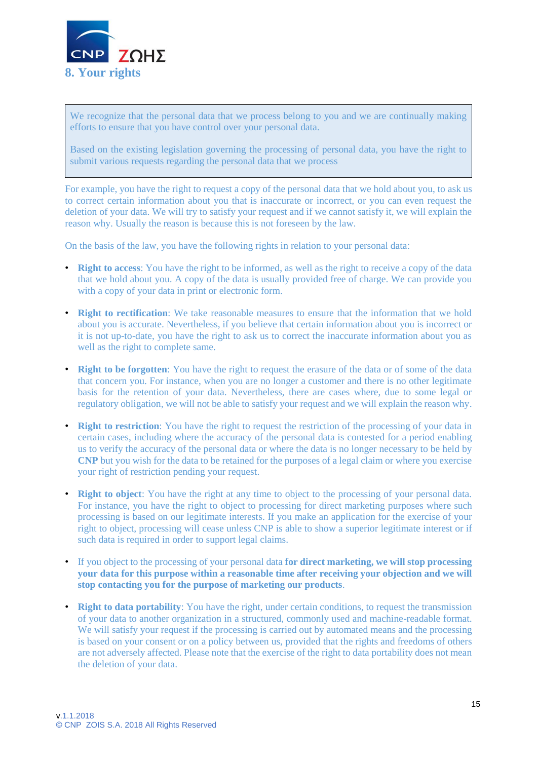

We recognize that the personal data that we process belong to you and we are continually making efforts to ensure that you have control over your personal data.

Based on the existing legislation governing the processing of personal data, you have the right to submit various requests regarding the personal data that we process

For example, you have the right to request a copy of the personal data that we hold about you, to ask us to correct certain information about you that is inaccurate or incorrect, or you can even request the deletion of your data. We will try to satisfy your request and if we cannot satisfy it, we will explain the reason why. Usually the reason is because this is not foreseen by the law.

On the basis of the law, you have the following rights in relation to your personal data:

- **Right to access**: You have the right to be informed, as well as the right to receive a copy of the data that we hold about you. A copy of the data is usually provided free of charge. We can provide you with a copy of your data in print or electronic form.
- **Right to rectification**: We take reasonable measures to ensure that the information that we hold about you is accurate. Nevertheless, if you believe that certain information about you is incorrect or it is not up-to-date, you have the right to ask us to correct the inaccurate information about you as well as the right to complete same.
- **Right to be forgotten**: You have the right to request the erasure of the data or of some of the data that concern you. For instance, when you are no longer a customer and there is no other legitimate basis for the retention of your data. Nevertheless, there are cases where, due to some legal or regulatory obligation, we will not be able to satisfy your request and we will explain the reason why.
- **Right to restriction**: You have the right to request the restriction of the processing of your data in certain cases, including where the accuracy of the personal data is contested for a period enabling us to verify the accuracy of the personal data or where the data is no longer necessary to be held by **CNP** but you wish for the data to be retained for the purposes of a legal claim or where you exercise your right of restriction pending your request.
- **Right to object**: You have the right at any time to object to the processing of your personal data. For instance, you have the right to object to processing for direct marketing purposes where such processing is based on our legitimate interests. If you make an application for the exercise of your right to object, processing will cease unless CNP is able to show a superior legitimate interest or if such data is required in order to support legal claims.
- If you object to the processing of your personal data **for direct marketing, we will stop processing your data for this purpose within a reasonable time after receiving your objection and we will stop contacting you for the purpose of marketing our products**.
- **Right to data portability**: You have the right, under certain conditions, to request the transmission of your data to another organization in a structured, commonly used and machine-readable format. We will satisfy your request if the processing is carried out by automated means and the processing is based on your consent or on a policy between us, provided that the rights and freedoms of others are not adversely affected. Please note that the exercise of the right to data portability does not mean the deletion of your data.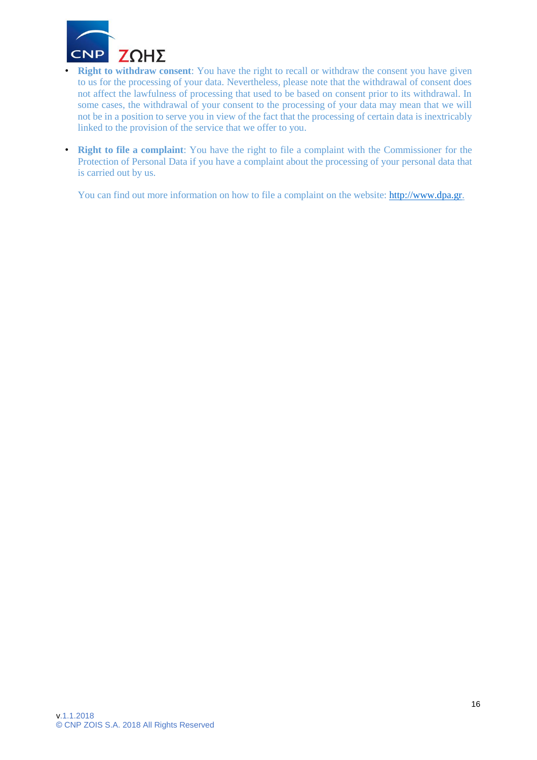

**• Right to withdraw consent**: You have the right to recall or withdraw the consent you have given to us for the processing of your data. Nevertheless, please note that the withdrawal of consent does not affect the lawfulness of processing that used to be based on consent prior to its withdrawal. In some cases, the withdrawal of your consent to the processing of your data may mean that we will not be in a position to serve you in view of the fact that the processing of certain data is inextricably linked to the provision of the service that we offer to you.

• **Right to file a complaint**: You have the right to file a complaint with the Commissioner for the Protection of Personal Data if you have a complaint about the processing of your personal data that is carried out by us.

You can find out more information on how to file a complaint on the website: [http://www.dpa.gr.](http://www.dpa.gr/)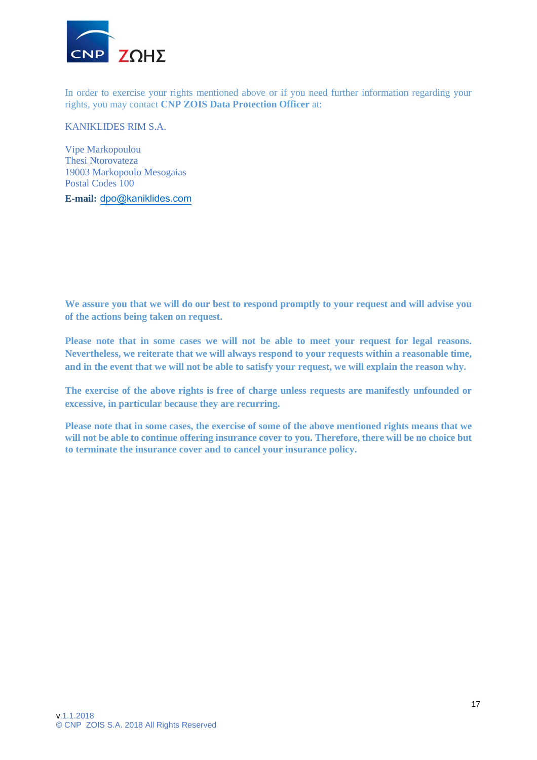

In order to exercise your rights mentioned above or if you need further information regarding your rights, you may contact **CNP ZOIS Data Protection Officer** at:

KANIKLIDES RIM S.A.

Vipe Markopoulou Thesi Ntorovateza 19003 Markopoulo Mesogaias Postal Codes 100

**E-mail:** [dpo@kaniklides.com](mailto:dpo@kaniklides.com)

**We assure you that we will do our best to respond promptly to your request and will advise you of the actions being taken on request.**

**Please note that in some cases we will not be able to meet your request for legal reasons. Nevertheless, we reiterate that we will always respond to your requests within a reasonable time, and in the event that we will not be able to satisfy your request, we will explain the reason why.**

**The exercise of the above rights is free of charge unless requests are manifestly unfounded or excessive, in particular because they are recurring.** 

**Please note that in some cases, the exercise of some of the above mentioned rights means that we will not be able to continue offering insurance cover to you. Therefore, there will be no choice but to terminate the insurance cover and to cancel your insurance policy.**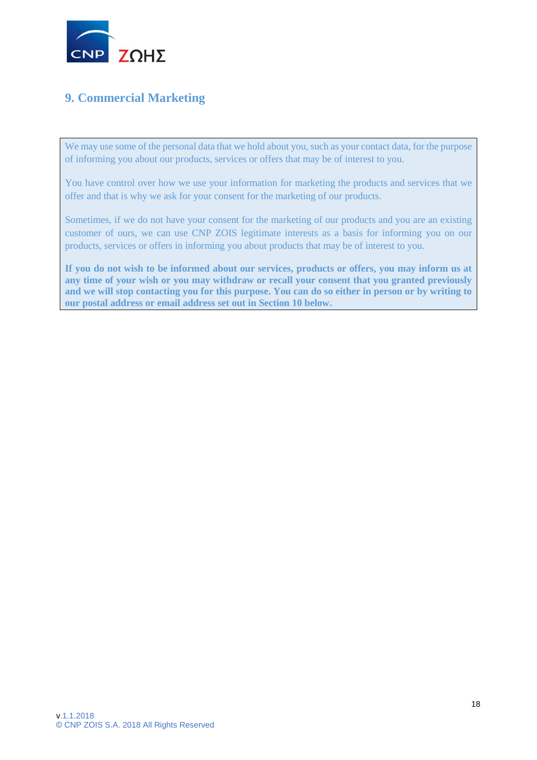

# **9. Commercial Marketing**

We may use some of the personal data that we hold about you, such as your contact data, for the purpose of informing you about our products, services or offers that may be of interest to you.

You have control over how we use your information for marketing the products and services that we offer and that is why we ask for your consent for the marketing of our products.

Sometimes, if we do not have your consent for the marketing of our products and you are an existing customer of ours, we can use CNP ZOIS legitimate interests as a basis for informing you on our products, services or offers in informing you about products that may be of interest to you.

<span id="page-17-0"></span>**If you do not wish to be informed about our services, products or offers, you may inform us at any time of your wish or you may withdraw or recall your consent that you granted previously and we will stop contacting you for this purpose. You can do so either in person or by writing to our postal address or email address set out in Section 10 below.**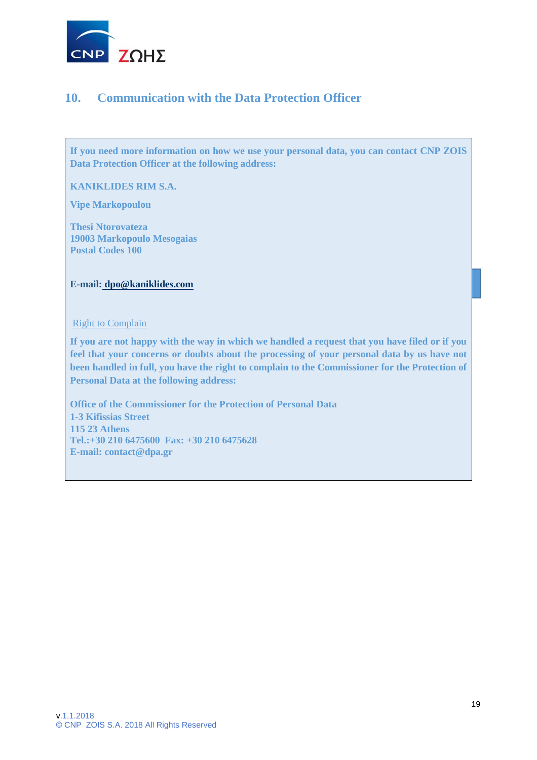

### **10. Communication with the Data Protection Officer**

<span id="page-18-0"></span>**If you need more information on how we use your personal data, you can contact CNP ZOIS Data Protection Officer at the following address:**

**KANIKLIDES RIM S.A.**

**Vipe Markopoulou**

**Thesi Ntorovateza 19003 Markopoulo Mesogaias Postal Codes 100**

#### **E-mail: [dpo@kaniklides.com](mailto:%20dpo@kaniklides.com)**

#### Right to Complain

**If you are not happy with the way in which we handled a request that you have filed or if you feel that your concerns or doubts about the processing of your personal data by us have not been handled in full, you have the right to complain to the Commissioner for the Protection of Personal Data at the following address:**

**Office of the Commissioner for the Protection of Personal Data 1-3 Kifissias Street 115 23 Athens Tel.:+30 210 6475600 Fax: +30 210 6475628 E-mail: contact@dpa.gr**